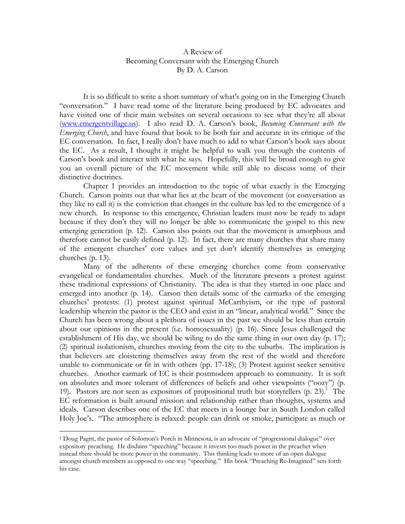## A Review of Becoming Conversant with the Emerging Church By D. A. Carson

 It is so difficult to write a short summary of what's going on in the Emerging Church "conversation." I have read some of the literature being produced by EC advocates and have visited one of their main websites on several occasions to see what they're all about (www.emergentvillage.us). I also read D. A. Carson's book, *Becoming Conversant with the Emerging Church*, and have found that book to be both fair and accurate in its critique of the EC conversation. In fact, I really don't have much to add to what Carson's book says about the EC. As a result, I thought it might be helpful to walk you through the contents of Carson's book and interact with what he says. Hopefully, this will be broad enough to give you an overall picture of the EC movement while still able to discuss some of their distinctive doctrines.

Chapter 1 provides an introduction to the topic of what exactly is the Emerging Church. Carson points out that what lies at the heart of the movement (or conversation as they like to call it) is the conviction that changes in the culture has led to the emergence of a new church. In response to this emergence, Christian leaders must now be ready to adapt because if they don't they will no longer be able to communicate the gospel to this new emerging generation (p. 12). Carson also points out that the movement is amorphous and therefore cannot be easily defined (p. 12). In fact, there are many churches that share many of the emergent churches' core values and yet don't identify themselves as emerging churches (p. 13).

 Many of the adherents of these emerging churches come from conservative evangelical or fundamentalist churches. Much of the literature presents a protest against these traditional expressions of Christianity. The idea is that they started in one place and emerged into another (p. 14). Carson then details some of the earmarks of the emerging churches' protests: (1) protest against spiritual McCarthyism, or the type of pastoral leadership wherein the pastor is the CEO and exist in an "linear, analytical world." Since the Church has been wrong about a plethora of issues in the past we should be less than certain about our opinions in the present (i.e. homosexuality) (p. 16). Since Jesus challenged the establishment of His day, we should be wiling to do the same thing in our own day (p. 17); (2) spiritual isolationism, churches moving from the city to the suburbs. The implication is that believers are cloistering themselves away from the rest of the world and therefore unable to communicate or fit in with others (pp. 17-18); (3) Protest against seeker sensitive churches. Another earmark of EC is their postmodern approach to community. It is soft on absolutes and more tolerant of differences of beliefs and other viewpoints ("oozy") (p. 19). Pastors are not seen as expositors of propositional truth but storytellers  $(p. 23)$ .<sup>1</sup> The EC reformation is built around mission and relationship rather than thoughts, systems and ideals. Carson describes one of the EC that meets in a lounge bar in South London called Holy Joe's. "The atmosphere is relaxed: people can drink or smoke, participate as much or

<sup>-</sup>1 Doug Pagitt, the pastor of Solomon's Porch in Minnesota, is an advocate of "progressional dialogue" over expository preaching. He disdains "speeching" because it invests too much power in the preacher when instead there should be more power in the community. This thinking leads to more of an open dialogue amongst church members as opposed to one-way "speeching." His book "Preaching Re-Imagined" sets forth his case.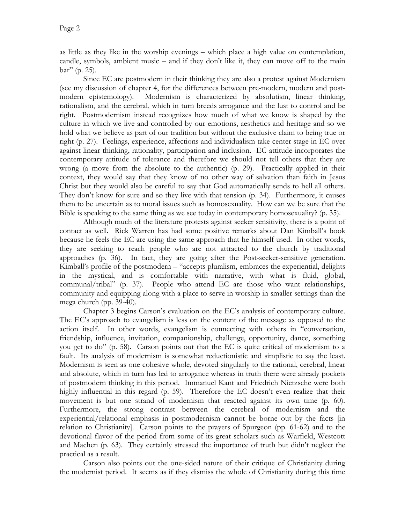as little as they like in the worship evenings – which place a high value on contemplation, candle, symbols, ambient music – and if they don't like it, they can move off to the main bar" (p. 25).

 Since EC are postmodern in their thinking they are also a protest against Modernism (see my discussion of chapter 4, for the differences between pre-modern, modern and postmodern epistemology). Modernism is characterized by absolutism, linear thinking, rationalism, and the cerebral, which in turn breeds arrogance and the lust to control and be right. Postmodernism instead recognizes how much of what we know is shaped by the culture in which we live and controlled by our emotions, aesthetics and heritage and so we hold what we believe as part of our tradition but without the exclusive claim to being true or right (p. 27). Feelings, experience, affections and individualism take center stage in EC over against linear thinking, rationality, participation and inclusion. EC attitude incorporates the contemporary attitude of tolerance and therefore we should not tell others that they are wrong (a move from the absolute to the authentic) (p. 29). Practically applied in their context, they would say that they know of no other way of salvation than faith in Jesus Christ but they would also be careful to say that God automatically sends to hell all others. They don't know for sure and so they live with that tension (p. 34). Furthermore, it causes them to be uncertain as to moral issues such as homosexuality. How can we be sure that the Bible is speaking to the same thing as we see today in contemporary homosexuality? (p. 35).

 Although much of the literature protests against seeker sensitivity, there is a point of contact as well. Rick Warren has had some positive remarks about Dan Kimball's book because he feels the EC are using the same approach that he himself used. In other words, they are seeking to reach people who are not attracted to the church by traditional approaches (p. 36). In fact, they are going after the Post-seeker-sensitive generation. Kimball's profile of the postmodern – "accepts pluralism, embraces the experiential, delights in the mystical, and is comfortable with narrative, with what is fluid, global, communal/tribal" (p. 37). People who attend EC are those who want relationships, community and equipping along with a place to serve in worship in smaller settings than the mega church (pp. 39-40).

 Chapter 3 begins Carson's evaluation on the EC's analysis of contemporary culture. The EC's approach to evangelism is less on the content of the message as opposed to the action itself. In other words, evangelism is connecting with others in "conversation, friendship, influence, invitation, companionship, challenge, opportunity, dance, something you get to do" (p. 58). Carson points out that the EC is quite critical of modernism to a fault. Its analysis of modernism is somewhat reductionistic and simplistic to say the least. Modernism is seen as one cohesive whole, devoted singularly to the rational, cerebral, linear and absolute, which in turn has led to arrogance whereas in truth there were already pockets of postmodern thinking in this period. Immanuel Kant and Friedrich Nietzsche were both highly influential in this regard (p. 59). Therefore the EC doesn't even realize that their movement is but one strand of modernism that reacted against its own time (p. 60). Furthermore, the strong contrast between the cerebral of modernism and the experiential/relational emphasis in postmodernism cannot be borne out by the facts [in relation to Christianity]. Carson points to the prayers of Spurgeon (pp. 61-62) and to the devotional flavor of the period from some of its great scholars such as Warfield, Westcott and Machen (p. 63). They certainly stressed the importance of truth but didn't neglect the practical as a result.

 Carson also points out the one-sided nature of their critique of Christianity during the modernist period. It seems as if they dismiss the whole of Christianity during this time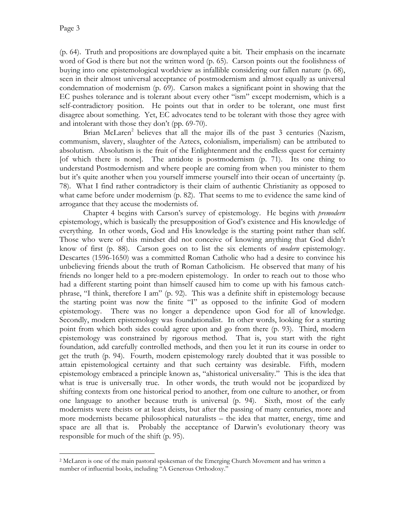(p. 64). Truth and propositions are downplayed quite a bit. Their emphasis on the incarnate word of God is there but not the written word (p. 65). Carson points out the foolishness of buying into one epistemological worldview as infallible considering our fallen nature (p. 68), seen in their almost universal acceptance of postmodernism and almost equally as universal condemnation of modernism (p. 69). Carson makes a significant point in showing that the EC pushes tolerance and is tolerant about every other "ism" except modernism, which is a self-contradictory position. He points out that in order to be tolerant, one must first disagree about something. Yet, EC advocates tend to be tolerant with those they agree with and intolerant with those they don't (pp. 69-70).

Brian McLaren<sup>2</sup> believes that all the major ills of the past 3 centuries (Nazism, communism, slavery, slaughter of the Aztecs, colonialism, imperialism) can be attributed to absolutism. Absolutism is the fruit of the Enlightenment and the endless quest for certainty [of which there is none]. The antidote is postmodernism (p. 71). Its one thing to understand Postmodernism and where people are coming from when you minister to them but it's quite another when you yourself immerse yourself into their ocean of uncertainty (p. 78). What I find rather contradictory is their claim of authentic Christianity as opposed to what came before under modernism (p. 82). That seems to me to evidence the same kind of arrogance that they accuse the modernists of.

 Chapter 4 begins with Carson's survey of epistemology. He begins with *premodern*  epistemology, which is basically the presupposition of God's existence and His knowledge of everything. In other words, God and His knowledge is the starting point rather than self. Those who were of this mindset did not conceive of knowing anything that God didn't know of first (p. 88). Carson goes on to list the six elements of *modern* epistemology. Descartes (1596-1650) was a committed Roman Catholic who had a desire to convince his unbelieving friends about the truth of Roman Catholicism. He observed that many of his friends no longer held to a pre-modern epistemology. In order to reach out to those who had a different starting point than himself caused him to come up with his famous catchphrase, "I think, therefore I am" (p. 92). This was a definite shift in epistemology because the starting point was now the finite "I" as opposed to the infinite God of modern epistemology. There was no longer a dependence upon God for all of knowledge. Secondly, modern epistemology was foundationalist. In other words, looking for a starting point from which both sides could agree upon and go from there (p. 93). Third, modern epistemology was constrained by rigorous method. That is, you start with the right foundation, add carefully controlled methods, and then you let it run its course in order to get the truth (p. 94). Fourth, modern epistemology rarely doubted that it was possible to attain epistemological certainty and that such certainty was desirable. Fifth, modern epistemology embraced a principle known as, "ahistorical universality." This is the idea that what is true is universally true. In other words, the truth would not be jeopardized by shifting contexts from one historical period to another, from one culture to another, or from one language to another because truth is universal (p. 94). Sixth, most of the early modernists were theists or at least deists, but after the passing of many centuries, more and more modernists became philosophical naturalists – the idea that matter, energy, time and space are all that is. Probably the acceptance of Darwin's evolutionary theory was responsible for much of the shift (p. 95).

<sup>-</sup>2 McLaren is one of the main pastoral spokesman of the Emerging Church Movement and has written a number of influential books, including "A Generous Orthodoxy."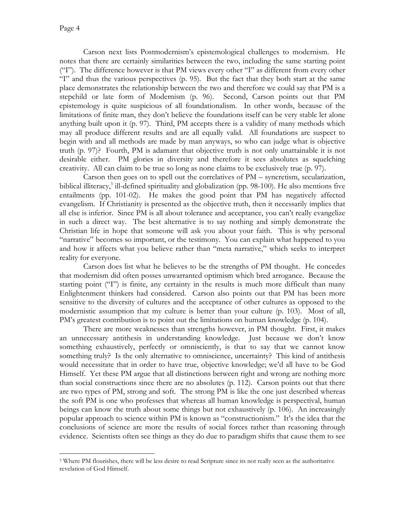Carson next lists Postmodernism's epistemological challenges to modernism. He notes that there are certainly similarities between the two, including the same starting point ("I"). The difference however is that PM views every other "I" as different from every other "I" and thus the various perspectives (p. 95). But the fact that they both start at the same place demonstrates the relationship between the two and therefore we could say that PM is a stepchild or late form of Modernism (p. 96). Second, Carson points out that PM epistemology is quite suspicious of all foundationalism. In other words, because of the limitations of finite man, they don't believe the foundations itself can be very stable let alone anything built upon it (p. 97). Third, PM accepts there is a validity of many methods which may all produce different results and are all equally valid. All foundations are suspect to begin with and all methods are made by man anyways, so who can judge what is objective truth (p. 97)? Fourth, PM is adamant that objective truth is not only unattainable it is not desirable either. PM glories in diversity and therefore it sees absolutes as squelching creativity. All can claim to be true so long as none claims to be exclusively true (p. 97).

 Carson then goes on to spell out the correlatives of PM – syncretism, secularization, biblical illiteracy,<sup>3</sup> ill-defined spirituality and globalization (pp. 98-100). He also mentions five entailments (pp. 101-02). He makes the good point that PM has negatively affected evangelism. If Christianity is presented as the objective truth, then it necessarily implies that all else is inferior. Since PM is all about tolerance and acceptance, you can't really evangelize in such a direct way. The best alternative is to say nothing and simply demonstrate the Christian life in hope that someone will ask you about your faith. This is why personal "narrative" becomes so important, or the testimony. You can explain what happened to you and how it affects what you believe rather than "meta narrative," which seeks to interpret reality for everyone.

 Carson does list what he believes to be the strengths of PM thought. He concedes that modernism did often posses unwarranted optimism which bred arrogance. Because the starting point ("I") is finite, any certainty in the results is much more difficult than many Enlightenment thinkers had considered. Carson also points out that PM has been more sensitive to the diversity of cultures and the acceptance of other cultures as opposed to the modernistic assumption that my culture is better than your culture (p. 103). Most of all, PM's greatest contribution is to point out the limitations on human knowledge (p. 104).

There are more weaknesses than strengths however, in PM thought. First, it makes an unnecessary antithesis in understanding knowledge. Just because we don't know something exhaustively, perfectly or omnisciently, is that to say that we cannot know something truly? Is the only alternative to omniscience, uncertainty? This kind of antithesis would necessitate that in order to have true, objective knowledge; we'd all have to be God Himself. Yet these PM argue that all distinctions between right and wrong are nothing more than social constructions since there are no absolutes (p. 112). Carson points out that there are two types of PM, strong and soft. The strong PM is like the one just described whereas the soft PM is one who professes that whereas all human knowledge is perspectival, human beings can know the truth about some things but not exhaustively (p. 106). An increasingly popular approach to science within PM is known as "constructionism." It's the idea that the conclusions of science are more the results of social forces rather than reasoning through evidence. Scientists often see things as they do due to paradigm shifts that cause them to see

 $\overline{a}$ <sup>3</sup> Where PM flourishes, there will be less desire to read Scripture since its not really seen as the authoritative revelation of God Himself.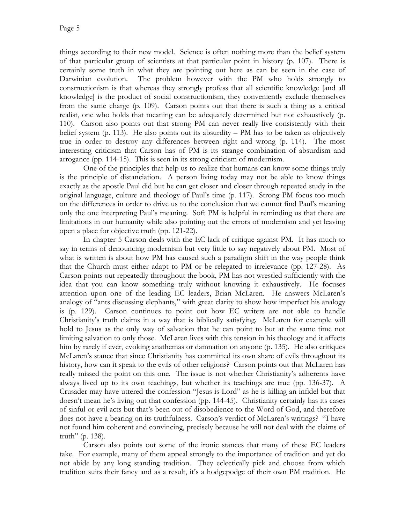things according to their new model. Science is often nothing more than the belief system of that particular group of scientists at that particular point in history (p. 107). There is certainly some truth in what they are pointing out here as can be seen in the case of Darwinian evolution. The problem however with the PM who holds strongly to constructionism is that whereas they strongly profess that all scientific knowledge [and all knowledge] is the product of social constructionism, they conveniently exclude themselves from the same charge (p. 109). Carson points out that there is such a thing as a critical realist, one who holds that meaning can be adequately determined but not exhaustively (p. 110). Carson also points out that strong PM can never really live consistently with their belief system (p. 113). He also points out its absurdity – PM has to be taken as objectively true in order to destroy any differences between right and wrong (p. 114). The most interesting criticism that Carson has of PM is its strange combination of absurdism and arrogance (pp. 114-15). This is seen in its strong criticism of modernism.

One of the principles that help us to realize that humans can know some things truly is the principle of distanciation. A person living today may not be able to know things exactly as the apostle Paul did but he can get closer and closer through repeated study in the original language, culture and theology of Paul's time (p. 117). Strong PM focus too much on the differences in order to drive us to the conclusion that we cannot find Paul's meaning only the one interpreting Paul's meaning. Soft PM is helpful in reminding us that there are limitations in our humanity while also pointing out the errors of modernism and yet leaving open a place for objective truth (pp. 121-22).

In chapter 5 Carson deals with the EC lack of critique against PM. It has much to say in terms of denouncing modernism but very little to say negatively about PM. Most of what is written is about how PM has caused such a paradigm shift in the way people think that the Church must either adapt to PM or be relegated to irrelevance (pp. 127-28). As Carson points out repeatedly throughout the book, PM has not wrestled sufficiently with the idea that you can know something truly without knowing it exhaustively. He focuses attention upon one of the leading EC leaders, Brian McLaren. He answers McLaren's analogy of "ants discussing elephants," with great clarity to show how imperfect his analogy is (p. 129). Carson continues to point out how EC writers are not able to handle Christianity's truth claims in a way that is biblically satisfying. McLaren for example will hold to Jesus as the only way of salvation that he can point to but at the same time not limiting salvation to only those. McLaren lives with this tension in his theology and it affects him by rarely if ever, evoking anathemas or damnation on anyone (p. 135). He also critiques McLaren's stance that since Christianity has committed its own share of evils throughout its history, how can it speak to the evils of other religions? Carson points out that McLaren has really missed the point on this one. The issue is not whether Christianity's adherents have always lived up to its own teachings, but whether its teachings are true (pp. 136-37). A Crusader may have uttered the confession "Jesus is Lord" as he is killing an infidel but that doesn't mean he's living out that confession (pp. 144-45). Christianity certainly has its cases of sinful or evil acts but that's been out of disobedience to the Word of God, and therefore does not have a bearing on its truthfulness. Carson's verdict of McLaren's writings? "I have not found him coherent and convincing, precisely because he will not deal with the claims of truth" (p. 138).

Carson also points out some of the ironic stances that many of these EC leaders take. For example, many of them appeal strongly to the importance of tradition and yet do not abide by any long standing tradition. They eclectically pick and choose from which tradition suits their fancy and as a result, it's a hodgepodge of their own PM tradition. He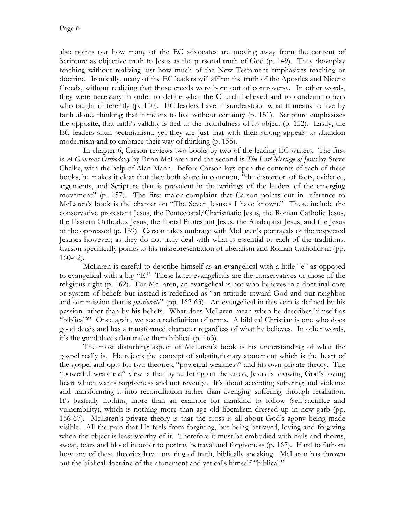also points out how many of the EC advocates are moving away from the content of Scripture as objective truth to Jesus as the personal truth of God (p. 149). They downplay teaching without realizing just how much of the New Testament emphasizes teaching or doctrine. Ironically, many of the EC leaders will affirm the truth of the Apostles and Nicene Creeds, without realizing that those creeds were born out of controversy. In other words, they were necessary in order to define what the Church believed and to condemn others who taught differently (p. 150). EC leaders have misunderstood what it means to live by faith alone, thinking that it means to live without certainty (p. 151). Scripture emphasizes the opposite, that faith's validity is tied to the truthfulness of its object (p. 152). Lastly, the EC leaders shun sectarianism, yet they are just that with their strong appeals to abandon modernism and to embrace their way of thinking (p. 155).

In chapter 6, Carson reviews two books by two of the leading EC writers. The first is *A Generous Orthodoxy* by Brian McLaren and the second is *The Lost Message of Jesus* by Steve Chalke, with the help of Alan Mann. Before Carson lays open the contents of each of these books, he makes it clear that they both share in common, "the distortion of facts, evidence, arguments, and Scripture that is prevalent in the writings of the leaders of the emerging movement" (p. 157). The first major complaint that Carson points out in reference to McLaren's book is the chapter on "The Seven Jesuses I have known." These include the conservative protestant Jesus, the Pentecostal/Charismatic Jesus, the Roman Catholic Jesus, the Eastern Orthodox Jesus, the liberal Protestant Jesus, the Anabaptist Jesus, and the Jesus of the oppressed (p. 159). Carson takes umbrage with McLaren's portrayals of the respected Jesuses however; as they do not truly deal with what is essential to each of the traditions. Carson specifically points to his misrepresentation of liberalism and Roman Catholicism (pp. 160-62).

McLaren is careful to describe himself as an evangelical with a little "e" as opposed to evangelical with a big "E." These latter evangelicals are the conservatives or those of the religious right (p. 162). For McLaren, an evangelical is not who believes in a doctrinal core or system of beliefs but instead is redefined as "an attitude toward God and our neighbor and our mission that is *passionate*" (pp. 162-63). An evangelical in this vein is defined by his passion rather than by his beliefs. What does McLaren mean when he describes himself as "biblical?" Once again, we see a redefinition of terms. A biblical Christian is one who does good deeds and has a transformed character regardless of what he believes. In other words, it's the good deeds that make them biblical (p. 163).

The most disturbing aspect of McLaren's book is his understanding of what the gospel really is. He rejects the concept of substitutionary atonement which is the heart of the gospel and opts for two theories, "powerful weakness" and his own private theory. The "powerful weakness" view is that by suffering on the cross, Jesus is showing God's loving heart which wants forgiveness and not revenge. It's about accepting suffering and violence and transforming it into reconciliation rather than avenging suffering through retaliation. It's basically nothing more than an example for mankind to follow (self-sacrifice and vulnerability), which is nothing more than age old liberalism dressed up in new garb (pp. 166-67). McLaren's private theory is that the cross is all about God's agony being made visible. All the pain that He feels from forgiving, but being betrayed, loving and forgiving when the object is least worthy of it. Therefore it must be embodied with nails and thorns, sweat, tears and blood in order to portray betrayal and forgiveness (p. 167). Hard to fathom how any of these theories have any ring of truth, biblically speaking. McLaren has thrown out the biblical doctrine of the atonement and yet calls himself "biblical."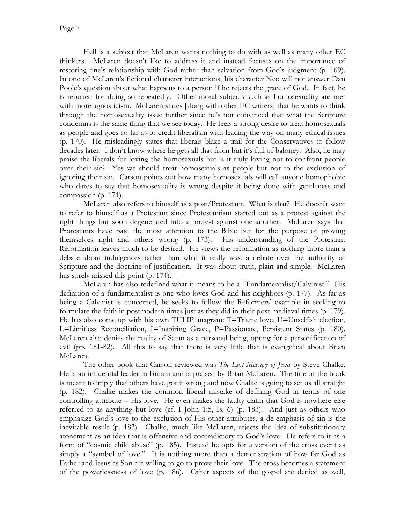Hell is a subject that McLaren wants nothing to do with as well as many other EC thinkers. McLaren doesn't like to address it and instead focuses on the importance of restoring one's relationship with God rather than salvation from God's judgment (p. 169). In one of McLaren's fictional character interactions, his character Neo will not answer Dan Poole's question about what happens to a person if he rejects the grace of God. In fact, he is rebuked for doing so repeatedly. Other moral subjects such as homosexuality are met with more agnosticism. McLaren states [along with other EC writers] that he wants to think through the homosexuality issue further since he's not convinced that what the Scripture condemns is the same thing that we see today. He feels a strong desire to treat homosexuals as people and goes so far as to credit liberalism with leading the way on many ethical issues (p. 170). He misleadingly states that liberals blaze a trail for the Conservatives to follow decades later. I don't know where he gets all that from but it's full of baloney. Also, he may praise the liberals for loving the homosexuals but is it truly loving not to confront people over their sin? Yes we should treat homosexuals as people but not to the exclusion of ignoring their sin. Carson points out how many homosexuals will call anyone homophobic who dares to say that homosexuality is wrong despite it being done with gentleness and compassion (p. 171).

McLaren also refers to himself as a post/Protestant. What is that? He doesn't want to refer to himself as a Protestant since Protestantism started out as a protest against the right things but soon degenerated into a protest against one another. McLaren says that Protestants have paid the most attention to the Bible but for the purpose of proving themselves right and others wrong (p. 173). His understanding of the Protestant Reformation leaves much to be desired. He views the reformation as nothing more than a debate about indulgences rather than what it really was, a debate over the authority of Scripture and the doctrine of justification. It was about truth, plain and simple. McLaren has sorely missed this point (p. 174).

McLaren has also redefined what it means to be a "Fundamentalist/Calvinist." His definition of a fundamentalist is one who loves God and his neighbors (p. 177). As far as being a Calvinist is concerned, he seeks to follow the Reformers' example in seeking to formulate the faith in postmodern times just as they did in their post-medieval times (p. 179). He has also come up with his own TULIP anagram: T=Triune love, U=Unselfish election, L=Limitless Reconciliation, I=Inspiring Grace, P=Passionate, Persistent States (p. 180). McLaren also denies the reality of Satan as a personal being, opting for a personification of evil (pp. 181-82). All this to say that there is very little that is evangelical about Brian McLaren.

The other book that Carson reviewed was *The Lost Message of Jesus* by Steve Chalke. He is an influential leader in Britain and is praised by Brian McLaren. The title of the book is meant to imply that others have got it wrong and now Chalke is going to set us all straight (p. 182). Chalke makes the common liberal mistake of defining God in terms of one controlling attribute – His love. He even makes the faulty claim that God is nowhere else referred to as anything but love (cf. I John 1:5, Is. 6) (p. 183). And just as others who emphasize God's love to the exclusion of His other attributes, a de-emphasis of sin is the inevitable result (p. 183). Chalke, much like McLaren, rejects the idea of substitutionary atonement as an idea that is offensive and contradictory to God's love. He refers to it as a form of "cosmic child abuse" (p. 185). Instead he opts for a version of the cross event as simply a "symbol of love." It is nothing more than a demonstration of how far God as Father and Jesus as Son are willing to go to prove their love. The cross becomes a statement of the powerlessness of love (p. 186). Other aspects of the gospel are denied as well,